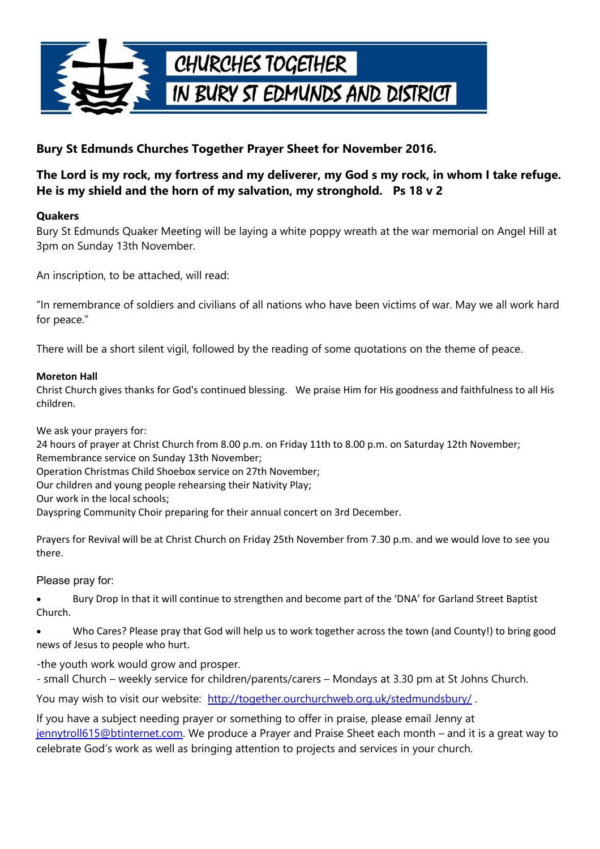

## **Bury St Edmunds Churches Together Prayer Sheet for November 2016.**

## **The Lord is my rock, my fortress and my deliverer, my God s my rock, in whom I take refuge. He is my shield and the horn of my salvation, my stronghold. Ps 18 v 2**

### **Quakers**

Bury St Edmunds Quaker Meeting will be laying a white poppy wreath at the war memorial on Angel Hill at 3pm on Sunday 13th November.

An inscription, to be attached, will read:

"In remembrance of soldiers and civilians of all nations who have been victims of war. May we all work hard for peace."

There will be a short silent vigil, followed by the reading of some quotations on the theme of peace.

#### **Moreton Hall**

Christ Church gives thanks for God's continued blessing. We praise Him for His goodness and faithfulness to all His children.

We ask your prayers for:

24 hours of prayer at Christ Church from 8.00 p.m. on Friday 11th to 8.00 p.m. on Saturday 12th November; Remembrance service on Sunday 13th November;

Operation Christmas Child Shoebox service on 27th November;

Our children and young people rehearsing their Nativity Play;

Our work in the local schools;

Dayspring Community Choir preparing for their annual concert on 3rd December.

Prayers for Revival will be at Christ Church on Friday 25th November from 7.30 p.m. and we would love to see you there.

Please pray for:

 Bury Drop In that it will continue to strengthen and become part of the 'DNA' for Garland Street Baptist Church.

 Who Cares? Please pray that God will help us to work together across the town (and County!) to bring good news of Jesus to people who hurt.

-the youth work would grow and prosper.

- small Church – weekly service for children/parents/carers – Mondays at 3.30 pm at St Johns Church.

You may wish to visit our website: http://together.ourchurchweb.org.uk/stedmundsbury/.

If you have a subject needing prayer or something to offer in praise, please email Jenny at [jennytroll615@btinternet.com.](mailto:jennytroll615@btinternet.com) We produce a Prayer and Praise Sheet each month – and it is a great way to celebrate God's work as well as bringing attention to projects and services in your church.